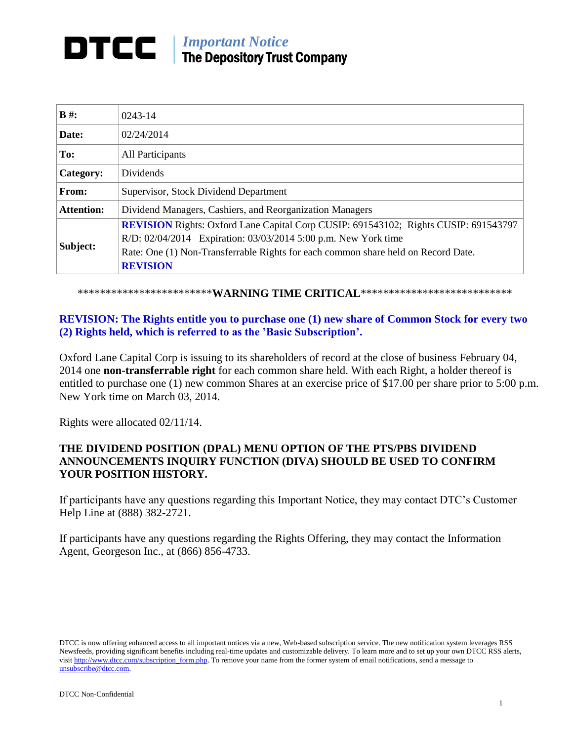## *Important Notice* DTCC I The Depository Trust Company

| $B \#$ :          | 0243-14                                                                                                                                                                                                                                                              |
|-------------------|----------------------------------------------------------------------------------------------------------------------------------------------------------------------------------------------------------------------------------------------------------------------|
| Date:             | 02/24/2014                                                                                                                                                                                                                                                           |
| To:               | All Participants                                                                                                                                                                                                                                                     |
| Category:         | Dividends                                                                                                                                                                                                                                                            |
| From:             | Supervisor, Stock Dividend Department                                                                                                                                                                                                                                |
| <b>Attention:</b> | Dividend Managers, Cashiers, and Reorganization Managers                                                                                                                                                                                                             |
| Subject:          | <b>REVISION</b> Rights: Oxford Lane Capital Corp CUSIP: 691543102; Rights CUSIP: 691543797<br>R/D: 02/04/2014 Expiration: 03/03/2014 5:00 p.m. New York time<br>Rate: One (1) Non-Transferrable Rights for each common share held on Record Date.<br><b>REVISION</b> |

\*\*\*\*\*\*\*\*\*\*\*\*\*\*\*\*\*\*\*\*\*\*\*\***WARNING TIME CRITICAL**\*\*\*\*\*\*\*\*\*\*\*\*\*\*\*\*\*\*\*\*\*\*\*\*\*\*\*\*\*

## **REVISION: The Rights entitle you to purchase one (1) new share of Common Stock for every two (2) Rights held, which is referred to as the 'Basic Subscription'.**

Oxford Lane Capital Corp is issuing to its shareholders of record at the close of business February 04, 2014 one **non-transferrable right** for each common share held. With each Right, a holder thereof is entitled to purchase one (1) new common Shares at an exercise price of \$17.00 per share prior to 5:00 p.m. New York time on March 03, 2014.

Rights were allocated 02/11/14.

## **THE DIVIDEND POSITION (DPAL) MENU OPTION OF THE PTS/PBS DIVIDEND ANNOUNCEMENTS INQUIRY FUNCTION (DIVA) SHOULD BE USED TO CONFIRM YOUR POSITION HISTORY.**

If participants have any questions regarding this Important Notice, they may contact DTC's Customer Help Line at (888) 382-2721.

If participants have any questions regarding the Rights Offering, they may contact the Information Agent, Georgeson Inc., at (866) 856-4733.

DTCC is now offering enhanced access to all important notices via a new, Web-based subscription service. The new notification system leverages RSS Newsfeeds, providing significant benefits including real-time updates and customizable delivery. To learn more and to set up your own DTCC RSS alerts, visit http://www.dtcc.com/subscription\_form.php. To remove your name from the former system of email notifications, send a message to unsubscribe@dtcc.com.